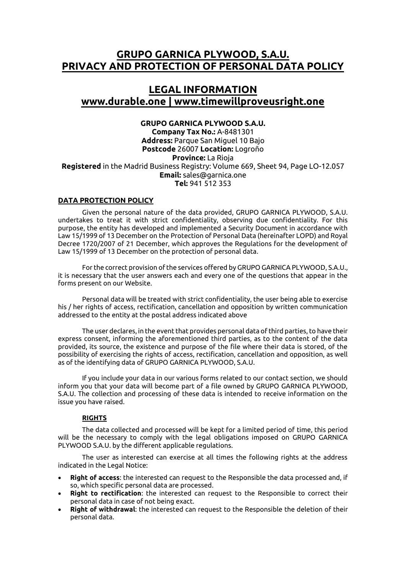# **GRUPO GARNICA PLYWOOD, S.A.U. PRIVACY AND PROTECTION OF PERSONAL DATA POLICY**

# **LEGAL INFORMATION www.durable.one | www.timewillproveusright.one**

## **GRUPO GARNICA PLYWOOD S.A.U.**

**Company Tax No.:** A-8481301 **Address:** Parque San Miguel 10 Bajo **Postcode** 26007 **Location:** Logroño **Province:** La Rioja **Registered** in the Madrid Business Registry: Volume 669, Sheet 94, Page LO-12.057 **Email:** [sales@garnica.one](mailto:sales@garnica.one) **Tel:** 941 512 353

## **DATA PROTECTION POLICY**

Given the personal nature of the data provided, GRUPO GARNICA PLYWOOD, S.A.U. undertakes to treat it with strict confidentiality, observing due confidentiality. For this purpose, the entity has developed and implemented a Security Document in accordance with Law 15/1999 of 13 December on the Protection of Personal Data (hereinafter LOPD) and Royal Decree 1720/2007 of 21 December, which approves the Regulations for the development of Law 15/1999 of 13 December on the protection of personal data.

For the correct provision of the services offered by GRUPO GARNICA PLYWOOD, S.A.U., it is necessary that the user answers each and every one of the questions that appear in the forms present on our Website.

Personal data will be treated with strict confidentiality, the user being able to exercise his / her rights of access, rectification, cancellation and opposition by written communication addressed to the entity at the postal address indicated above

The user declares, in the event that provides personal data of third parties, to have their express consent, informing the aforementioned third parties, as to the content of the data provided, its source, the existence and purpose of the file where their data is stored, of the possibility of exercising the rights of access, rectification, cancellation and opposition, as well as of the identifying data of GRUPO GARNICA PLYWOOD, S.A.U.

If you include your data in our various forms related to our contact section, we should inform you that your data will become part of a file owned by GRUPO GARNICA PLYWOOD, S.A.U. The collection and processing of these data is intended to receive information on the issue you have raised.

## **RIGHTS**

The data collected and processed will be kept for a limited period of time, this period will be the necessary to comply with the legal obligations imposed on GRUPO GARNICA PLYWOOD S.A.U. by the different applicable regulations.

The user as interested can exercise at all times the following rights at the address indicated in the Legal Notice:

- **Right of access**: the interested can request to the Responsible the data processed and, if so, which specific personal data are processed.
- **Right to rectification**: the interested can request to the Responsible to correct their personal data in case of not being exact.
- **Right of withdrawal**: the interested can request to the Responsible the deletion of their personal data.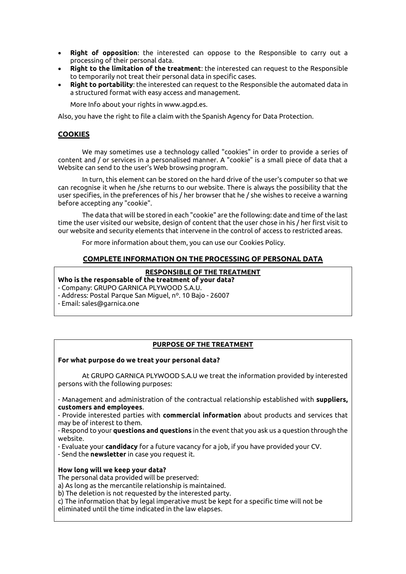- **Right of opposition**: the interested can oppose to the Responsible to carry out a processing of their personal data.
- **Right to the limitation of the treatment**: the interested can request to the Responsible to temporarily not treat their personal data in specific cases.
- **Right to portability**: the interested can request to the Responsible the automated data in a structured format with easy access and management.

More Info about your rights in www.agpd.es.

Also, you have the right to file a claim with the Spanish Agency for Data Protection.

## **COOKIES**

We may sometimes use a technology called "cookies" in order to provide a series of content and / or services in a personalised manner. A "cookie" is a small piece of data that a Website can send to the user's Web browsing program.

In turn, this element can be stored on the hard drive of the user's computer so that we can recognise it when he /she returns to our website. There is always the possibility that the user specifies, in the preferences of his / her browser that he / she wishes to receive a warning before accepting any "cookie".

The data that will be stored in each "cookie" are the following: date and time of the last time the user visited our website, design of content that the user chose in his / her first visit to our website and security elements that intervene in the control of access to restricted areas.

For more information about them, you can use our Cookies Policy.

## **COMPLETE INFORMATION ON THE PROCESSING OF PERSONAL DATA**

#### **RESPONSIBLE OF THE TREATMENT**

## **Who is the responsable of the treatment of your data?**

- Company: GRUPO GARNICA PLYWOOD S.A.U.

- Address: Postal Parque San Miguel, nº. 10 Bajo - 26007

- Email: sales@garnica.one

## **PURPOSE OF THE TREATMENT**

#### **For what purpose do we treat your personal data?**

At GRUPO GARNICA PLYWOOD S.A.U we treat the information provided by interested persons with the following purposes:

- Management and administration of the contractual relationship established with **suppliers, customers and employees**.

- Provide interested parties with **commercial information** about products and services that may be of interest to them.

- Respond to your **questions and questions** in the event that you ask us a question through the website.

- Evaluate your **candidacy** for a future vacancy for a job, if you have provided your CV.

- Send the **newsletter** in case you request it.

#### **How long will we keep your data?**

The personal data provided will be preserved:

a) As long as the mercantile relationship is maintained.

b) The deletion is not requested by the interested party.

c) The information that by legal imperative must be kept for a specific time will not be eliminated until the time indicated in the law elapses.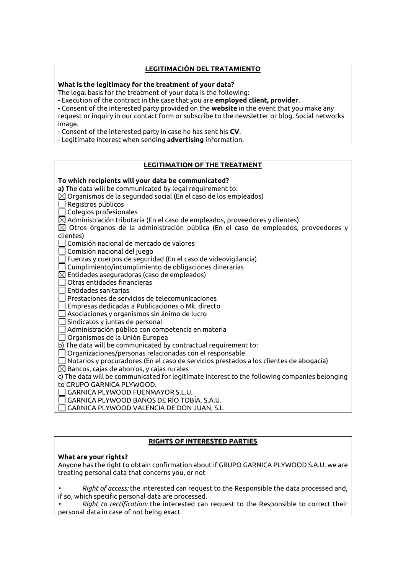## **LEGITIMACIÓN DEL TRATAMIENTO**

#### **What is the legitimacy for the treatment of your data?**

The legal basis for the treatment of your data is the following:

- Execution of the contract in the case that you are **employed client, provider**.

- Consent of the interested party provided on the **website** in the event that you make any request or inquiry in our contact form or subscribe to the newsletter or blog. Social networks image.

- Consent of the interested party in case he has sent his **CV**.

- Legitimate interest when sending **advertising** information.

## **LEGITIMATION OF THE TREATMENT**

## **To which recipients will your data be communicated?**

**a)** The data will be communicated by legal requirement to:

- $\boxtimes$  Organismos de la seguridad social (En el caso de los empleados)
- Registros públicos
- $\Box$  Colegios profesionales

 $\boxtimes$  Administración tributaria (En el caso de empleados, proveedores y clientes)

 $\boxtimes$  Otros órganos de la administración pública (En el caso de empleados, proveedores y clientes)

 $\Box$  Comisión nacional de mercado de valores

 $\sqcap$  Comisión nacional del juego

Fuerzas y cuerpos de seguridad (En el caso de videovigilancia)

 $\Box$  Cumplimiento/incumplimiento de obligaciones dinerarias

 $\boxtimes$  Entidades aseguradoras (caso de empleados)

- Otras entidades financieras
- Entidades sanitarias

Prestaciones de servicios de telecomunicaciones

Empresas dedicadas a Publicaciones o Mk. directo

Asociaciones y organismos sin ánimo de lucro

 $\exists$  Sindicatos y juntas de personal

Administración pública con competencia en materia

Organismos de la Unión Europea

b) The data will be communicated by contractual requirement to:

Organizaciones/personas relacionadas con el responsable

 $\Box$  Notarios y procuradores (En el caso de servicios prestados a los clientes de abogacía)

 $\boxtimes$  Bancos, cajas de ahorros, y cajas rurales

c) The data will be communicated for legitimate interest to the following companies belonging to GRUPO GARNICA PLYWOOD.

GARNICA PLYWOOD FUENMAYOR S.L.U.

GARNICA PLYWOOD BAÑOS DE RÍO TOBÍA, S.A.U.

GARNICA PLYWOOD VALENCIA DE DON JUAN, S.L.

## **RIGHTS OF INTERESTED PARTIES**

## **What are your rights?**

Anyone has the right to obtain confirmation about if GRUPO GARNICA PLYWOOD S.A.U. we are treating personal data that concerns you, or not

*• Right of access:* the interested can request to the Responsible the data processed and, if so, which specific personal data are processed.

*• Right to rectification:* the interested can request to the Responsible to correct their personal data in case of not being exact.